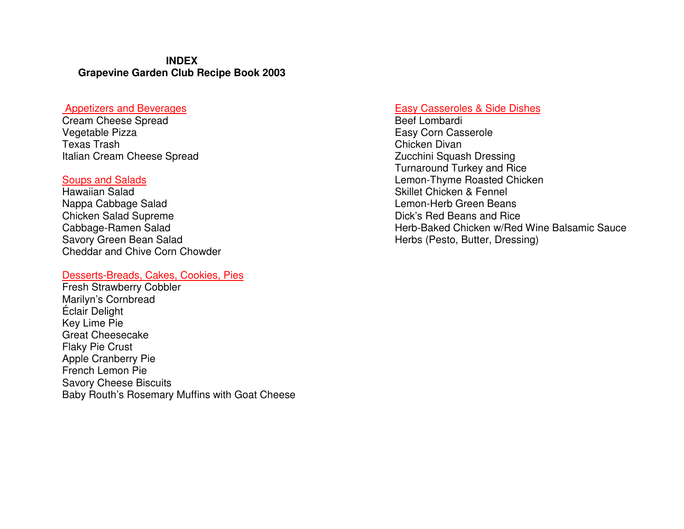#### **INDEX Grapevine Garden Club Recipe Book 2003**

#### Appetizers and Beverages

Cream Cheese Spread Vegetable Pizza Texas Trash Italian Cream Cheese Spread

#### Soups and Salads

Hawaiian Salad Nappa Cabbage Salad Chicken Salad Supreme Cabbage-Ramen Salad Savory Green Bean Salad Cheddar and Chive Corn Chowder

#### Desserts-Breads, Cakes, Cookies, Pies

Fresh Strawberry Cobbler Marilyn's Cornbread Éclair Delight Key Lime Pie Great Cheesecake Flaky Pie Crust Apple Cranberry Pie French Lemon Pie Savory Cheese Biscuits Baby Routh's Rosemary Muffins with Goat Cheese

#### Easy Casseroles & Side Dishes

Beef Lombardi Easy Corn Casserole Chicken Divan Zucchini Squash Dressing Turnaround Turkey and Rice Lemon-Thyme Roasted Chicken Skillet Chicken & Fennel Lemon-Herb Green Beans Dick's Red Beans and Rice Herb-Baked Chicken w/Red Wine Balsamic Sauce Herbs (Pesto, Butter, Dressing)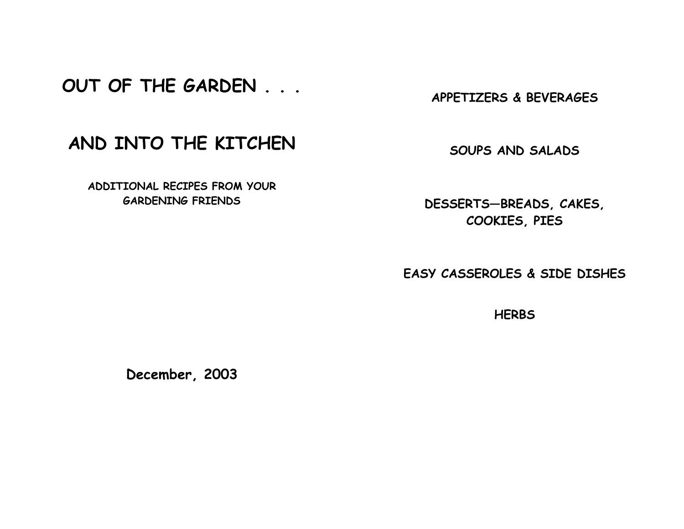# OUT OF THE GARDEN . . .

APPETIZERS & BEVERAGES

# AND INTO THE KITCHEN

ADDITIONAL RECIPES FROM YOUR GARDENING FRIENDS

SOUPS AND SALADS

DESSERTS—BREADS, CAKES, COOKIES, PIES

EASY CASSEROLES & SIDE DISHES

**HERBS** 

December, 2003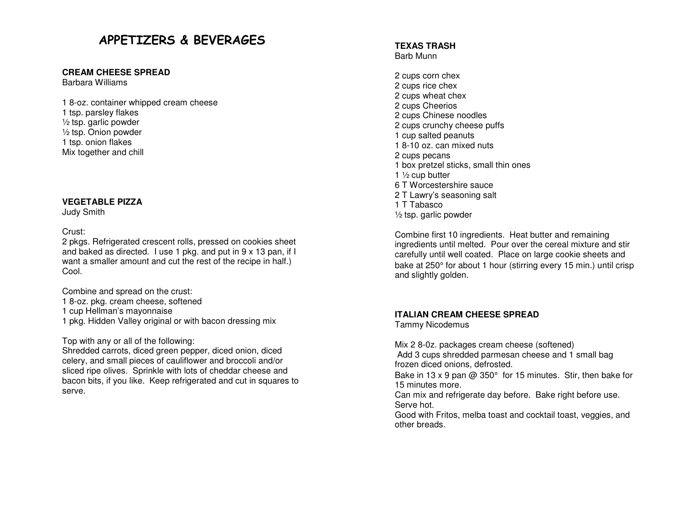## APPETIZERS & BEVERAGES

#### **CREAM CHEESE SPREAD**

Barbara Williams

1 8-oz. container whipped cream cheese 1 tsp. parsley flakes ½ tsp. garlic powder ½ tsp. Onion powder 1 tsp. onion flakes Mix together and chill

#### **VEGETABLE PIZZA**

Judy Smith

#### Crust:

 2 pkgs. Refrigerated crescent rolls, pressed on cookies sheet and baked as directed. I use 1 pkg. and put in 9 x 13 pan, if I want a smaller amount and cut the rest of the recipe in half.) Cool.

Combine and spread on the crust:

- 1 8-oz. pkg. cream cheese, softened
- 1 cup Hellman's mayonnaise
- 1 pkg. Hidden Valley original or with bacon dressing mix

Top with any or all of the following:

 Shredded carrots, diced green pepper, diced onion, diced celery, and small pieces of cauliflower and broccoli and/or sliced ripe olives. Sprinkle with lots of cheddar cheese and bacon bits, if you like. Keep refrigerated and cut in squares to serve.

#### **TEXAS TRASH** Barb Munn

2 cups corn chex 2 cups rice chex 2 cups wheat chex 2 cups Cheerios 2 cups Chinese noodles 2 cups crunchy cheese puffs 1 cup salted peanuts 1 8-10 oz. can mixed nuts 2 cups pecans 1 box pretzel sticks, small thin ones 1  $\frac{1}{2}$  cup butter 6 T Worcestershire sauce 2 T Lawry's seasoning salt 1 T Tabasco ½ tsp. garlic powder

Combine first 10 ingredients. Heat butter and remaining ingredients until melted. Pour over the cereal mixture and stir carefully until well coated. Place on large cookie sheets and bake at 250° for about 1 hour (stirring every 15 min.) until crisp and slightly golden.

#### **ITALIAN CREAM CHEESE SPREAD**

Tammy Nicodemus

Mix 2 8-0z. packages cream cheese (softened) Add 3 cups shredded parmesan cheese and 1 small bag frozen diced onions, defrosted.

Bake in 13 x 9 pan  $@$  350 $^{\circ}$  for 15 minutes. Stir, then bake for 15 minutes more.

 Can mix and refrigerate day before. Bake right before use. Serve hot.

 Good with Fritos, melba toast and cocktail toast, veggies, and other breads.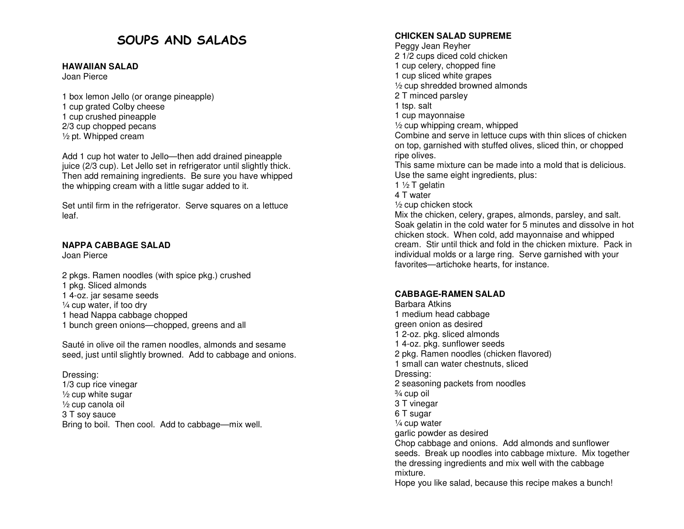## SOUPS AND SALADS

#### **HAWAIIAN SALAD**

Joan Pierce

1 box lemon Jello (or orange pineapple) 1 cup grated Colby cheese 1 cup crushed pineapple 2/3 cup chopped pecans  $\frac{1}{2}$  pt. Whipped cream

Add 1 cup hot water to Jello—then add drained pineapple juice (2/3 cup). Let Jello set in refrigerator until slightly thick. Then add remaining ingredients. Be sure you have whipped the whipping cream with a little sugar added to it.

Set until firm in the refrigerator. Serve squares on a lettuce leaf.

#### **NAPPA CABBAGE SALAD**

Joan Pierce

2 pkgs. Ramen noodles (with spice pkg.) crushed 1 pkg. Sliced almonds 1 4-oz. jar sesame seeds ¼ cup water, if too dry 1 head Nappa cabbage chopped 1 bunch green onions—chopped, greens and all

Sauté in olive oil the ramen noodles, almonds and sesame seed, just until slightly browned. Add to cabbage and onions.

Dressing: 1/3 cup rice vinegar  $\frac{1}{2}$  cup white sugar ½ cup canola oil 3 T soy sauce Bring to boil. Then cool. Add to cabbage—mix well.

#### **CHICKEN SALAD SUPREME**

Peggy Jean Reyher 2 1/2 cups diced cold chicken 1 cup celery, chopped fine 1 cup sliced white grapes ½ cup shredded browned almonds 2 T minced parsley 1 tsp. salt 1 cup mayonnaise ½ cup whipping cream, whipped Combine and serve in lettuce cups with thin slices of chicken on top, garnished with stuffed olives, sliced thin, or chopped ripe olives. This same mixture can be made into a mold that is delicious. Use the same eight ingredients, plus: 1  $\frac{1}{2}$  T gelatin 4 T water ½ cup chicken stock Mix the chicken, celery, grapes, almonds, parsley, and salt. Soak gelatin in the cold water for 5 minutes and dissolve in hot chicken stock. When cold, add mayonnaise and whipped cream. Stir until thick and fold in the chicken mixture. Pack in individual molds or a large ring. Serve garnished with your favorites—artichoke hearts, for instance.

#### **CABBAGE-RAMEN SALAD**

Barbara Atkins 1 medium head cabbage green onion as desired 1 2-oz. pkg. sliced almonds 1 4-oz. pkg. sunflower seeds 2 pkg. Ramen noodles (chicken flavored) 1 small can water chestnuts, sliced Dressing: 2 seasoning packets from noodles ¾ cup oil 3 T vinegar 6 T sugar ¼ cup water garlic powder as desired Chop cabbage and onions. Add almonds and sunflower seeds. Break up noodles into cabbage mixture. Mix together the dressing ingredients and mix well with the cabbage mixture. Hope you like salad, because this recipe makes a bunch!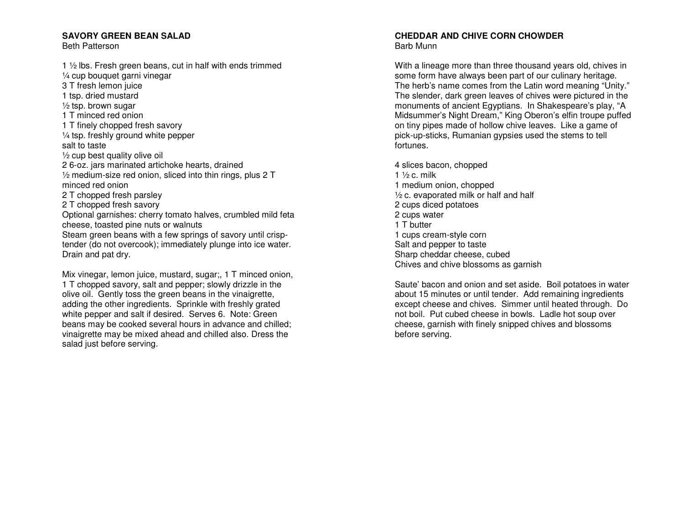#### **SAVORY GREEN BEAN SALAD**

Beth Patterson

1 ½ lbs. Fresh green beans, cut in half with ends trimmed ¼ cup bouquet garni vinegar 3 T fresh lemon juice 1 tsp. dried mustard  $\frac{1}{2}$  tsp. brown sugar 1 T minced red onion 1 T finely chopped fresh savory ¼ tsp. freshly ground white pepper salt to taste ½ cup best quality olive oil 2 6-oz. jars marinated artichoke hearts, drained ½ medium-size red onion, sliced into thin rings, plus 2 T minced red onion 2 T chopped fresh parsley 2 T chopped fresh savory Optional garnishes: cherry tomato halves, crumbled mild feta cheese, toasted pine nuts or walnuts Steam green beans with a few springs of savory until crisptender (do not overcook); immediately plunge into ice water. Drain and pat dry.

Mix vinegar, lemon juice, mustard, sugar;, 1 T minced onion, 1 T chopped savory, salt and pepper; slowly drizzle in the olive oil. Gently toss the green beans in the vinaigrette, adding the other ingredients. Sprinkle with freshly grated white pepper and salt if desired. Serves 6. Note: Green beans may be cooked several hours in advance and chilled; vinaigrette may be mixed ahead and chilled also. Dress the salad just before serving.

#### **CHEDDAR AND CHIVE CORN CHOWDER** Barb Munn

With a lineage more than three thousand years old, chives in some form have always been part of our culinary heritage. The herb's name comes from the Latin word meaning "Unity." The slender, dark green leaves of chives were pictured in the monuments of ancient Egyptians. In Shakespeare's play, "A Midsummer's Night Dream," King Oberon's elfin troupe puffed on tiny pipes made of hollow chive leaves. Like a game of pick-up-sticks, Rumanian gypsies used the stems to tell fortunes.

4 slices bacon, chopped 1  $\frac{1}{2}$  c. milk 1 medium onion, chopped ½ c. evaporated milk or half and half 2 cups diced potatoes 2 cups water 1 T butter 1 cups cream-style corn Salt and pepper to taste Sharp cheddar cheese, cubed Chives and chive blossoms as garnish

Saute' bacon and onion and set aside. Boil potatoes in water about 15 minutes or until tender. Add remaining ingredients except cheese and chives. Simmer until heated through. Do not boil. Put cubed cheese in bowls. Ladle hot soup over cheese, garnish with finely snipped chives and blossoms before serving.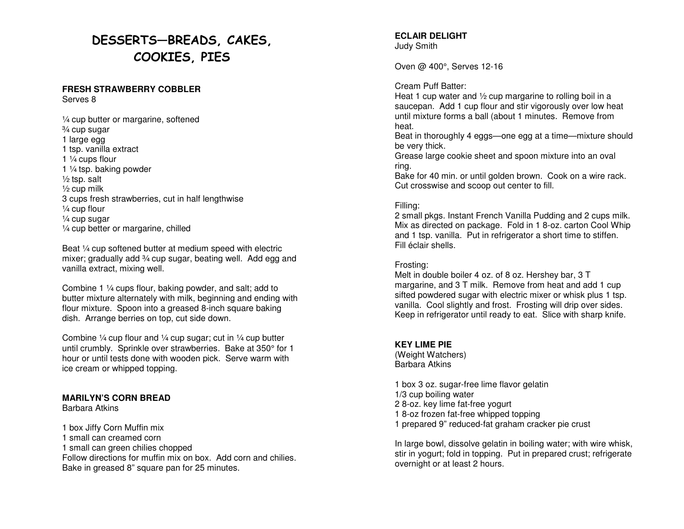## DESSERTS—BREADS, CAKES, COOKIES, PIES

#### **FRESH STRAWBERRY COBBLER** Serves 8

¼ cup butter or margarine, softened ¾ cup sugar 1 large egg 1 tsp. vanilla extract 1  $\frac{1}{4}$  cups flour 1 ¼ tsp. baking powder  $\frac{1}{2}$  tsp. salt ½ cup milk 3 cups fresh strawberries, cut in half lengthwise ¼ cup flour ¼ cup sugar ¼ cup better or margarine, chilled

Beat ¼ cup softened butter at medium speed with electric mixer; gradually add 3⁄4 cup sugar, beating well. Add egg and vanilla extract, mixing well.

Combine 1 ¼ cups flour, baking powder, and salt; add to butter mixture alternately with milk, beginning and ending with flour mixture. Spoon into a greased 8-inch square baking dish. Arrange berries on top, cut side down.

Combine  $\frac{1}{4}$  cup flour and  $\frac{1}{4}$  cup sugar; cut in  $\frac{1}{4}$  cup butter until crumbly. Sprinkle over strawberries. Bake at 350° for 1 hour or until tests done with wooden pick. Serve warm with ice cream or whipped topping.

#### **MARILYN'S CORN BREAD**

Barbara Atkins

1 box Jiffy Corn Muffin mix 1 small can creamed corn 1 small can green chilies chopped Follow directions for muffin mix on box. Add corn and chilies. Bake in greased 8" square pan for 25 minutes.

**ECLAIR DELIGHT** Judy Smith

Oven @ 400°, Serves 12-16

#### Cream Puff Batter:

 Heat 1 cup water and ½ cup margarine to rolling boil in a saucepan. Add 1 cup flour and stir vigorously over low heat until mixture forms a ball (about 1 minutes. Remove from heat.

 Beat in thoroughly 4 eggs—one egg at a time—mixture should be very thick.

 Grease large cookie sheet and spoon mixture into an oval ring.

 Bake for 40 min. or until golden brown. Cook on a wire rack. Cut crosswise and scoop out center to fill.

#### Filling:

 2 small pkgs. Instant French Vanilla Pudding and 2 cups milk. Mix as directed on package. Fold in 1 8-oz. carton Cool Whip and 1 tsp. vanilla. Put in refrigerator a short time to stiffen. Fill éclair shells.

#### Frosting:

 Melt in double boiler 4 oz. of 8 oz. Hershey bar, 3 T margarine, and 3 T milk. Remove from heat and add 1 cup sifted powdered sugar with electric mixer or whisk plus 1 tsp. vanilla. Cool slightly and frost. Frosting will drip over sides. Keep in refrigerator until ready to eat. Slice with sharp knife.

#### **KEY LIME PIE**

 (Weight Watchers) Barbara Atkins

1 box 3 oz. sugar-free lime flavor gelatin 1/3 cup boiling water 2 8-oz. key lime fat-free yogurt 1 8-oz frozen fat-free whipped topping 1 prepared 9" reduced-fat graham cracker pie crust

In large bowl, dissolve gelatin in boiling water; with wire whisk, stir in yogurt; fold in topping. Put in prepared crust; refrigerate overnight or at least 2 hours.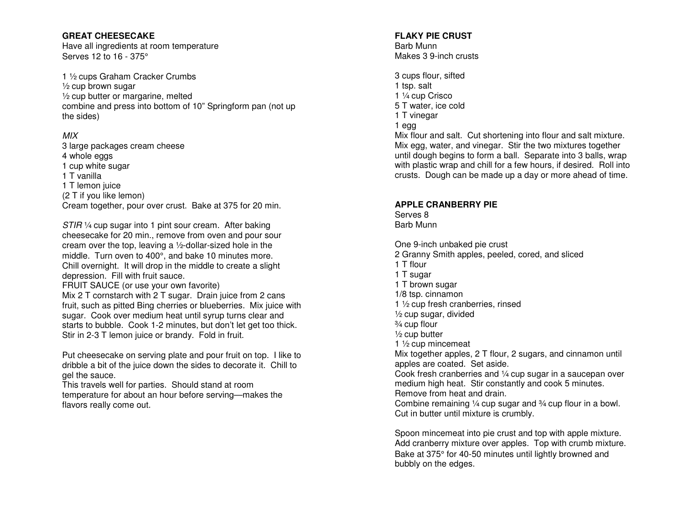#### **GREAT CHEESECAKE**

 Have all ingredients at room temperature Serves 12 to 16 - 375°

1 ½ cups Graham Cracker Crumbs  $\frac{1}{2}$  cup brown sugar ½ cup butter or margarine, melted combine and press into bottom of 10" Springform pan (not up the sides)

#### MIX

 3 large packages cream cheese 4 whole eggs 1 cup white sugar 1 T vanilla 1 T lemon juice (2 T if you like lemon) Cream together, pour over crust. Bake at 375 for 20 min.

STIR 1/4 cup sugar into 1 pint sour cream. After baking cheesecake for 20 min., remove from oven and pour sour cream over the top, leaving a ½-dollar-sized hole in the middle. Turn oven to 400°, and bake 10 minutes more. Chill overnight. It will drop in the middle to create a slight depression. Fill with fruit sauce.

 FRUIT SAUCE (or use your own favorite) Mix 2 T cornstarch with 2 T sugar. Drain juice from 2 cans fruit, such as pitted Bing cherries or blueberries. Mix juice with sugar. Cook over medium heat until syrup turns clear and starts to bubble. Cook 1-2 minutes, but don't let get too thick. Stir in 2-3 T lemon juice or brandy. Fold in fruit.

Put cheesecake on serving plate and pour fruit on top. I like to dribble a bit of the juice down the sides to decorate it. Chill to gel the sauce.

 This travels well for parties. Should stand at room temperature for about an hour before serving—makes the flavors really come out.

#### **FLAKY PIE CRUST**

Barb Munn Makes 3 9-inch crusts

3 cups flour, sifted 1 tsp. salt 1 ¼ cup Crisco 5 T water, ice cold 1 T vinegar 1 egg Mix flour and salt. Cut shortening into flour and salt mixture. Mix egg, water, and vinegar. Stir the two mixtures together until dough begins to form a ball. Separate into 3 balls, wrap with plastic wrap and chill for a few hours, if desired. Roll into crusts. Dough can be made up a day or more ahead of time.

#### **APPLE CRANBERRY PIE**

Serves 8 Barb Munn

One 9-inch unbaked pie crust 2 Granny Smith apples, peeled, cored, and sliced 1 T flour 1 T sugar 1 T brown sugar 1/8 tsp. cinnamon 1 ½ cup fresh cranberries, rinsed ½ cup sugar, divided ¾ cup flour ½ cup butter 1 ½ cup mincemeat Mix together apples, 2 T flour, 2 sugars, and cinnamon until apples are coated. Set aside. Cook fresh cranberries and  $\frac{1}{4}$  cup sugar in a saucepan over medium high heat. Stir constantly and cook 5 minutes. Remove from heat and drain. Combine remaining  $\frac{1}{4}$  cup sugar and  $\frac{3}{4}$  cup flour in a bowl. Cut in butter until mixture is crumbly.

Spoon mincemeat into pie crust and top with apple mixture. Add cranberry mixture over apples. Top with crumb mixture. Bake at 375° for 40-50 minutes until lightly browned and bubbly on the edges.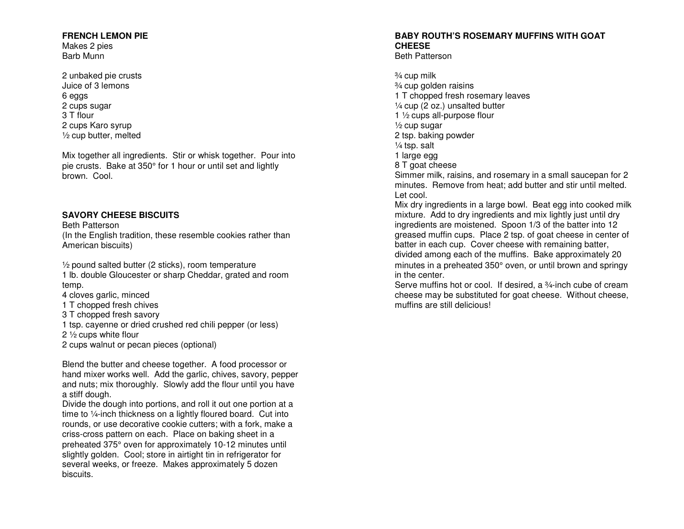#### **FRENCH LEMON PIE**

Makes 2 pies Barb Munn

2 unbaked pie crusts Juice of 3 lemons 6 eggs 2 cups sugar 3 T flour 2 cups Karo syrup ½ cup butter, melted

Mix together all ingredients. Stir or whisk together. Pour into pie crusts. Bake at 350° for 1 hour or until set and lightly brown. Cool.

#### **SAVORY CHEESE BISCUITS**

Beth Patterson (In the English tradition, these resemble cookies rather than American biscuits)

½ pound salted butter (2 sticks), room temperature 1 lb. double Gloucester or sharp Cheddar, grated and room temp.

4 cloves garlic, minced

- 1 T chopped fresh chives
- 3 T chopped fresh savory
- 1 tsp. cayenne or dried crushed red chili pepper (or less)

2 ½ cups white flour

2 cups walnut or pecan pieces (optional)

Blend the butter and cheese together. A food processor or hand mixer works well. Add the garlic, chives, savory, pepper and nuts; mix thoroughly. Slowly add the flour until you have a stiff dough.

 Divide the dough into portions, and roll it out one portion at a time to ¼-inch thickness on a lightly floured board. Cut into rounds, or use decorative cookie cutters; with a fork, make a criss-cross pattern on each. Place on baking sheet in a preheated 375° oven for approximately 10-12 minutes until slightly golden. Cool; store in airtight tin in refrigerator for several weeks, or freeze. Makes approximately 5 dozen biscuits.

#### **BABY ROUTH'S ROSEMARY MUFFINS WITH GOATCHEESE**

Beth Patterson

¾ cup milk ¾ cup golden raisins 1 T chopped fresh rosemary leaves ¼ cup (2 oz.) unsalted butter 1 ½ cups all-purpose flour ½ cup sugar 2 tsp. baking powder ¼ tsp. salt 1 large egg 8 T goat cheese Simmer milk, raisins, and rosemary in a small saucepan for 2 minutes. Remove from heat; add butter and stir until melted. Let cool. Mix dry ingredients in a large bowl. Beat egg into cooked milk mixture. Add to dry ingredients and mix lightly just until dry ingredients are moistened. Spoon 1/3 of the batter into 12 greased muffin cups. Place 2 tsp. of goat cheese in center of batter in each cup. Cover cheese with remaining batter, divided among each of the muffins. Bake approximately 20 minutes in a preheated 350° oven, or until brown and springy in the center.

Serve muffins hot or cool. If desired, a 3/4-inch cube of cream cheese may be substituted for goat cheese. Without cheese, muffins are still delicious!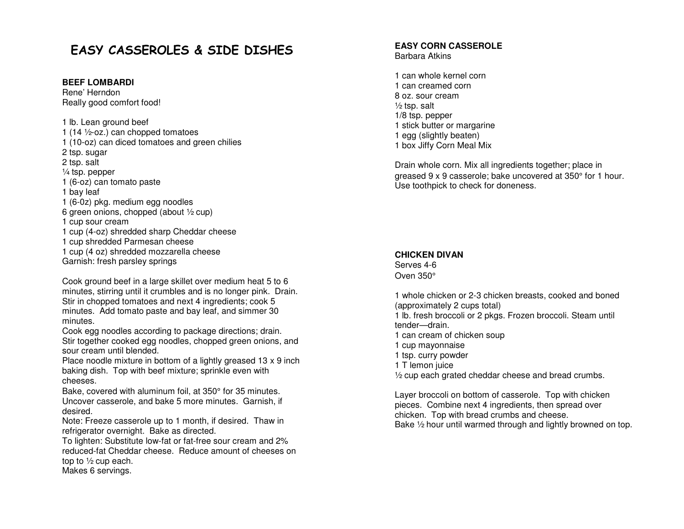## EASY CASSEROLES & SIDE DISHES

#### **BEEF LOMBARDI**

Rene' Herndon Really good comfort food!

1 lb. Lean ground beef 1 (14 ½-oz.) can chopped tomatoes 1 (10-oz) can diced tomatoes and green chilies 2 tsp. sugar 2 tsp. salt ¼ tsp. pepper 1 (6-oz) can tomato paste 1 bay leaf 1 (6-0z) pkg. medium egg noodles 6 green onions, chopped (about ½ cup) 1 cup sour cream 1 cup (4-oz) shredded sharp Cheddar cheese 1 cup shredded Parmesan cheese 1 cup (4 oz) shredded mozzarella cheese Garnish: fresh parsley springs

Cook ground beef in a large skillet over medium heat 5 to 6 minutes, stirring until it crumbles and is no longer pink. Drain. Stir in chopped tomatoes and next 4 ingredients; cook 5 minutes. Add tomato paste and bay leaf, and simmer 30 minutes.

 Cook egg noodles according to package directions; drain. Stir together cooked egg noodles, chopped green onions, and sour cream until blended.

 Place noodle mixture in bottom of a lightly greased 13 x 9 inch baking dish. Top with beef mixture; sprinkle even with cheeses.

Bake, covered with aluminum foil, at 350° for 35 minutes. Uncover casserole, and bake 5 more minutes. Garnish, if desired.

 Note: Freeze casserole up to 1 month, if desired. Thaw in refrigerator overnight. Bake as directed.

 To lighten: Substitute low-fat or fat-free sour cream and 2% reduced-fat Cheddar cheese. Reduce amount of cheeses on top to ½ cup each.

Makes 6 servings.

#### **EASY CORN CASSEROLE** Barbara Atkins

1 can whole kernel corn 1 can creamed corn 8 oz. sour cream  $\frac{1}{2}$  tsp. salt 1/8 tsp. pepper 1 stick butter or margarine 1 egg (slightly beaten) 1 box Jiffy Corn Meal Mix

Drain whole corn. Mix all ingredients together; place in greased 9 x 9 casserole; bake uncovered at 350° for 1 hour. Use toothpick to check for doneness.

#### **CHICKEN DIVAN**

Serves 4-6 Oven 350°

1 whole chicken or 2-3 chicken breasts, cooked and boned (approximately 2 cups total) 1 lb. fresh broccoli or 2 pkgs. Frozen broccoli. Steam until tender—drain. 1 can cream of chicken soup 1 cup mayonnaise 1 tsp. curry powder 1 T lemon juice ½ cup each grated cheddar cheese and bread crumbs.

Layer broccoli on bottom of casserole. Top with chicken pieces. Combine next 4 ingredients, then spread over chicken. Top with bread crumbs and cheese. Bake 1/2 hour until warmed through and lightly browned on top.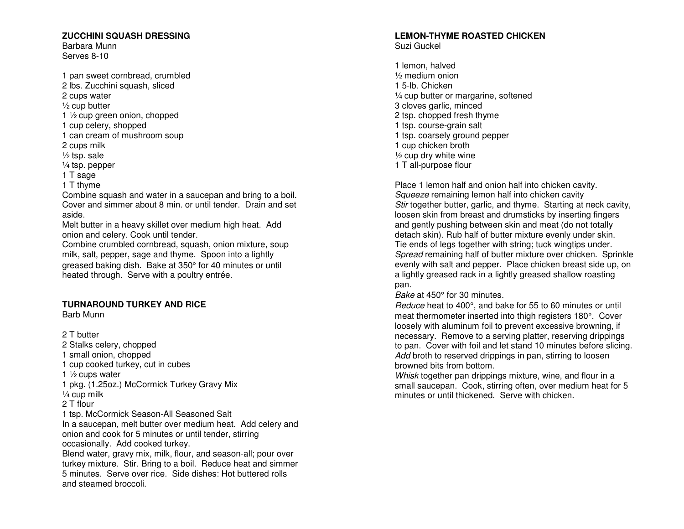#### **ZUCCHINI SQUASH DRESSING**

Barbara Munn Serves 8-10

1 pan sweet cornbread, crumbled 2 lbs. Zucchini squash, sliced 2 cups water ½ cup butter 1 ½ cup green onion, chopped 1 cup celery, shopped 1 can cream of mushroom soup 2 cups milk ½ tsp. sale ¼ tsp. pepper 1 T sage 1 T thyme Combine squash and water in a saucepan and bring to a boil. Cover and simmer about 8 min. or until tender. Drain and set aside. Melt butter in a heavy skillet over medium high heat. Add onion and celery. Cook until tender. Combine crumbled cornbread, squash, onion mixture, soup milk, salt, pepper, sage and thyme. Spoon into a lightly greased baking dish. Bake at 350° for 40 minutes or until

heated through. Serve with a poultry entrée.

#### **TURNAROUND TURKEY AND RICE**

Barb Munn

2 T butter 2 Stalks celery, chopped 1 small onion, chopped 1 cup cooked turkey, cut in cubes 1  $\frac{1}{2}$  cups water 1 pkg. (1.25oz.) McCormick Turkey Gravy Mix ¼ cup milk 2 T flour 1 tsp. McCormick Season-All Seasoned Salt In a saucepan, melt butter over medium heat. Add celery and onion and cook for 5 minutes or until tender, stirring occasionally. Add cooked turkey. Blend water, gravy mix, milk, flour, and season-all; pour over turkey mixture. Stir. Bring to a boil. Reduce heat and simmer 5 minutes. Serve over rice. Side dishes: Hot buttered rolls and steamed broccoli.

#### **LEMON-THYME ROASTED CHICKEN** Suzi Guckel

1 lemon, halved ½ medium onion 1 5-lb. Chicken ¼ cup butter or margarine, softened 3 cloves garlic, minced 2 tsp. chopped fresh thyme 1 tsp. course-grain salt 1 tsp. coarsely ground pepper 1 cup chicken broth ½ cup dry white wine 1 T all-purpose flour

Place 1 lemon half and onion half into chicken cavity. Squeeze remaining lemon half into chicken cavity Stir together butter, garlic, and thyme. Starting at neck cavity, loosen skin from breast and drumsticks by inserting fingers and gently pushing between skin and meat (do not totally detach skin). Rub half of butter mixture evenly under skin. Tie ends of legs together with string; tuck wingtips under. Spread remaining half of butter mixture over chicken. Sprinkle evenly with salt and pepper. Place chicken breast side up, on a lightly greased rack in a lightly greased shallow roasting pan.

Bake at 450° for 30 minutes.

Reduce heat to 400°, and bake for 55 to 60 minutes or until meat thermometer inserted into thigh registers 180°. Cover loosely with aluminum foil to prevent excessive browning, if necessary. Remove to a serving platter, reserving drippings to pan. Cover with foil and let stand 10 minutes before slicing. Add broth to reserved drippings in pan, stirring to loosen browned bits from bottom.

Whisk together pan drippings mixture, wine, and flour in a small saucepan. Cook, stirring often, over medium heat for 5 minutes or until thickened. Serve with chicken.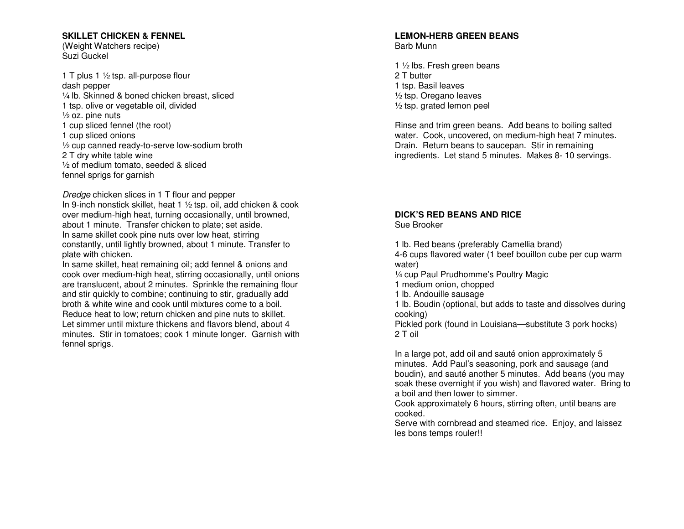#### **SKILLET CHICKEN & FENNEL**

(Weight Watchers recipe) Suzi Guckel

1 T plus 1  $\frac{1}{2}$  tsp. all-purpose flour dash pepper ¼ lb. Skinned & boned chicken breast, sliced 1 tsp. olive or vegetable oil, divided ½ oz. pine nuts 1 cup sliced fennel (the root) 1 cup sliced onions ½ cup canned ready-to-serve low-sodium broth 2 T dry white table wine ½ of medium tomato, seeded & sliced fennel sprigs for garnish

Dredge chicken slices in 1 T flour and pepper

 In 9-inch nonstick skillet, heat 1 ½ tsp. oil, add chicken & cook over medium-high heat, turning occasionally, until browned, about 1 minute. Transfer chicken to plate; set aside. In same skillet cook pine nuts over low heat, stirring constantly, until lightly browned, about 1 minute. Transfer to plate with chicken.

 In same skillet, heat remaining oil; add fennel & onions and cook over medium-high heat, stirring occasionally, until onions are translucent, about 2 minutes. Sprinkle the remaining flour and stir quickly to combine; continuing to stir, gradually add broth & white wine and cook until mixtures come to a boil. Reduce heat to low; return chicken and pine nuts to skillet. Let simmer until mixture thickens and flavors blend, about 4 minutes. Stir in tomatoes; cook 1 minute longer. Garnish with fennel sprigs.

#### **LEMON-HERB GREEN BEANS** Barb Munn

1 ½ lbs. Fresh green beans 2 T butter 1 tsp. Basil leaves ½ tsp. Oregano leaves ½ tsp. grated lemon peel

Rinse and trim green beans. Add beans to boiling salted water. Cook, uncovered, on medium-high heat 7 minutes. Drain. Return beans to saucepan. Stir in remaining ingredients. Let stand 5 minutes. Makes 8- 10 servings.

## **DICK'S RED BEANS AND RICE**

Sue Brooker

1 lb. Red beans (preferably Camellia brand)

 4-6 cups flavored water (1 beef bouillon cube per cup warm water)

¼ cup Paul Prudhomme's Poultry Magic

1 medium onion, chopped

1 lb. Andouille sausage

 1 lb. Boudin (optional, but adds to taste and dissolves during cooking)

 Pickled pork (found in Louisiana—substitute 3 pork hocks) 2 T oil

In a large pot, add oil and sauté onion approximately 5 minutes. Add Paul's seasoning, pork and sausage (and boudin), and sauté another 5 minutes. Add beans (you may soak these overnight if you wish) and flavored water. Bring to a boil and then lower to simmer.

 Cook approximately 6 hours, stirring often, until beans are cooked.

 Serve with cornbread and steamed rice. Enjoy, and laissez les bons temps rouler!!